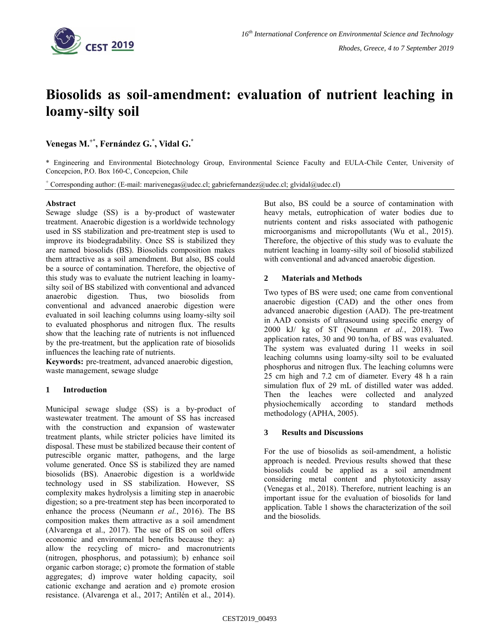

# **Biosolids as soil-amendment: evaluation of nutrient leaching in loamy-silty soil**

**Venegas M. +\*, Fernández G.\* , Vidal G. \***

\* Engineering and Environmental Biotechnology Group, Environmental Science Faculty and EULA-Chile Center, University of Concepcion, P.O. Box 160-C, Concepcion, Chile

+ Corresponding author: (E-mail: marivenegas@udec.cl; gabriefernandez@udec.cl; glvidal@udec.cl)

## **Abstract**

Sewage sludge (SS) is a by-product of wastewater treatment. Anaerobic digestion is a worldwide technology used in SS stabilization and pre-treatment step is used to improve its biodegradability. Once SS is stabilized they are named biosolids (BS). Biosolids composition makes them attractive as a soil amendment. But also, BS could be a source of contamination. Therefore, the objective of this study was to evaluate the nutrient leaching in loamysilty soil of BS stabilized with conventional and advanced anaerobic digestion. Thus, two biosolids from conventional and advanced anaerobic digestion were evaluated in soil leaching columns using loamy-silty soil to evaluated phosphorus and nitrogen flux. The results show that the leaching rate of nutrients is not influenced by the pre-treatment, but the application rate of biosolids influences the leaching rate of nutrients.

**Keywords:** pre-treatment, advanced anaerobic digestion, waste management, sewage sludge

# **1 Introduction**

Municipal sewage sludge (SS) is a by-product of wastewater treatment. The amount of SS has increased with the construction and expansion of wastewater treatment plants, while stricter policies have limited its disposal. These must be stabilized because their content of putrescible organic matter, pathogens, and the large volume generated. Once SS is stabilized they are named biosolids (BS). Anaerobic digestion is a worldwide technology used in SS stabilization. However, SS complexity makes hydrolysis a limiting step in anaerobic digestion; so a pre-treatment step has been incorporated to enhance the process (Neumann *et al.*, 2016). The BS composition makes them attractive as a soil amendment (Alvarenga et al., 2017). The use of BS on soil offers economic and environmental benefits because they: a) allow the recycling of micro- and macronutrients (nitrogen, phosphorus, and potassium); b) enhance soil organic carbon storage; c) promote the formation of stable aggregates; d) improve water holding capacity, soil cationic exchange and aeration and e) promote erosion resistance. (Alvarenga et al., 2017; Antilén et al., 2014).

But also, BS could be a source of contamination with heavy metals, eutrophication of water bodies due to nutrients content and risks associated with pathogenic microorganisms and micropollutants (Wu et al., 2015). Therefore, the objective of this study was to evaluate the nutrient leaching in loamy-silty soil of biosolid stabilized with conventional and advanced anaerobic digestion.

# **2 Materials and Methods**

Two types of BS were used; one came from conventional anaerobic digestion (CAD) and the other ones from advanced anaerobic digestion (AAD). The pre-treatment in AAD consists of ultrasound using specific energy of 2000 kJ/ kg of ST (Neumann *et al.*, 2018). Two application rates, 30 and 90 ton/ha, of BS was evaluated. The system was evaluated during 11 weeks in soil leaching columns using loamy-silty soil to be evaluated phosphorus and nitrogen flux. The leaching columns were 25 cm high and 7.2 cm of diameter. Every 48 h a rain simulation flux of 29 mL of distilled water was added. Then the leaches were collected and analyzed physiochemically according to standard methods methodology (APHA, 2005).

### **3 Results and Discussions**

For the use of biosolids as soil-amendment, a holistic approach is needed. Previous results showed that these biosolids could be applied as a soil amendment considering metal content and phytotoxicity assay (Venegas et al., 2018). Therefore, nutrient leaching is an important issue for the evaluation of biosolids for land application. Table 1 shows the characterization of the soil and the biosolids.